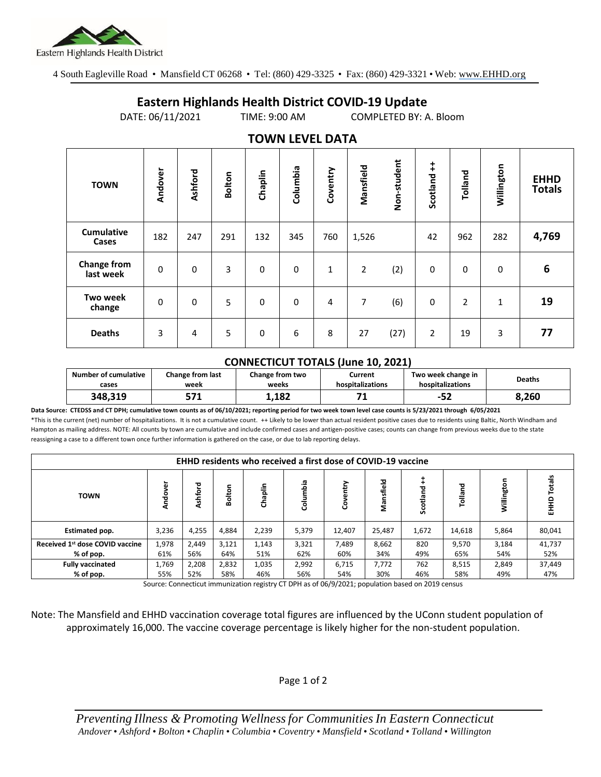

4 South Eagleville Road • Mansfield CT 06268 • Tel: (860) 429-3325 • Fax: (860) 429-3321 • Web: www.EHHD.org

## **Eastern Highlands Health District COVID-19 Update**

DATE: 06/11/2021 TIME: 9:00 AM COMPLETED BY: A. Bloom

| $19.111$ LL $32.11$             |             |             |               |             |             |              |           |             |                        |                |              |                              |
|---------------------------------|-------------|-------------|---------------|-------------|-------------|--------------|-----------|-------------|------------------------|----------------|--------------|------------------------------|
| <b>TOWN</b>                     | Andover     | Ashford     | <b>Bolton</b> | Chaplin     | Columbia    | Coventry     | Mansfield | Non-student | $\ddagger$<br>Scotland | Tolland        | Willington   | <b>EHHD</b><br><b>Totals</b> |
| <b>Cumulative</b><br>Cases      | 182         | 247         | 291           | 132         | 345         | 760          | 1,526     |             | 42                     | 962            | 282          | 4,769                        |
| <b>Change from</b><br>last week | $\mathbf 0$ | $\mathbf 0$ | 3             | $\mathbf 0$ | $\mathbf 0$ | $\mathbf{1}$ | 2         | (2)         | $\mathbf 0$            | $\Omega$       | 0            | $6\phantom{1}6$              |
| Two week<br>change              | 0           | $\mathbf 0$ | 5             | 0           | $\mathbf 0$ | 4            | 7         | (6)         | 0                      | $\overline{2}$ | $\mathbf{1}$ | 19                           |
| <b>Deaths</b>                   | 3           | 4           | 5             | $\mathbf 0$ | 6           | 8            | 27        | (27)        | $\overline{2}$         | 19             | 3            | 77                           |

## **TOWN LEVEL DATA**

## **CONNECTICUT TOTALS (June 10, 2021)**

| Number of cumulative<br>cases | <b>Change from last</b><br>week | Change from two<br>weeks | Current<br>hospitalizations | Two week change in<br>hospitalizations | Deaths |  |
|-------------------------------|---------------------------------|--------------------------|-----------------------------|----------------------------------------|--------|--|
| 348.319                       | - 74                            | 1.182                    | ۰.                          | --<br>ے⊂−                              | 8.260  |  |

**Data Source: CTEDSS and CT DPH; cumulative town counts as of 06/10/2021; reporting period for two week town level case counts is 5/23/2021 through 6/05/2021** \*This is the current (net) number of hospitalizations. It is not a cumulative count. ++ Likely to be lower than actual resident positive cases due to residents using Baltic, North Windham and Hampton as mailing address. NOTE: All counts by town are cumulative and include confirmed cases and antigen-positive cases; counts can change from previous weeks due to the state reassigning a case to a different town once further information is gathered on the case, or due to lab reporting delays.

| <b>EHHD residents who received a first dose of COVID-19 vaccine</b> |                  |              |             |         |          |        |           |             |        |       |                 |
|---------------------------------------------------------------------|------------------|--------------|-------------|---------|----------|--------|-----------|-------------|--------|-------|-----------------|
| <b>TOWN</b>                                                         | ģ<br><b>Ando</b> | ਠ<br>٦Č<br>T | ξ<br>ā<br>œ | Chaplin | e.<br>శే | Ō      | Mansfield | 꼳<br>cotlar | 짇<br>ᅙ |       | otals<br>오<br>도 |
| <b>Estimated pop.</b>                                               | 3,236            | 4,255        | 4.884       | 2,239   | 5,379    | 12,407 | 25,487    | 1,672       | 14,618 | 5,864 | 80,041          |
| Received 1st dose COVID vaccine                                     | 1,978            | 2,449        | 3,121       | 1,143   | 3,321    | 7,489  | 8,662     | 820         | 9,570  | 3,184 | 41,737          |
| % of pop.                                                           | 61%              | 56%          | 64%         | 51%     | 62%      | 60%    | 34%       | 49%         | 65%    | 54%   | 52%             |
| <b>Fully vaccinated</b>                                             | 1,769            | 2,208        | 2,832       | 1,035   | 2,992    | 6,715  | 7,772     | 762         | 8,515  | 2,849 | 37,449          |
| % of pop.                                                           | 55%              | 52%          | 58%         | 46%     | 56%      | 54%    | 30%       | 46%         | 58%    | 49%   | 47%             |

Source: Connecticut immunization registry CT DPH as of 06/9/2021; population based on 2019 census

Note: The Mansfield and EHHD vaccination coverage total figures are influenced by the UConn student population of approximately 16,000. The vaccine coverage percentage is likely higher for the non-student population.